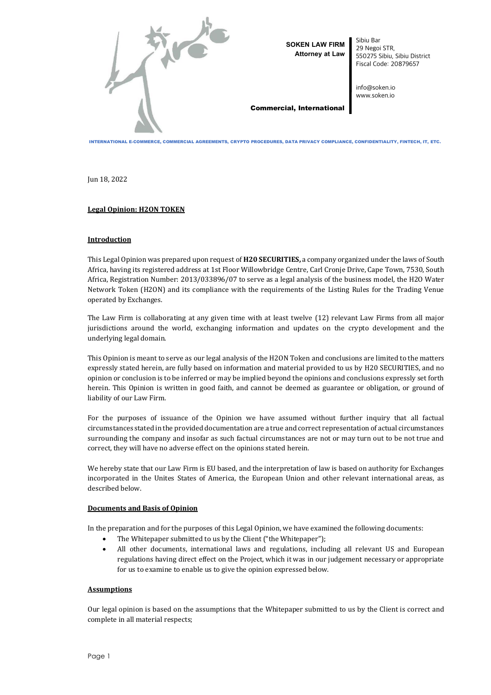

**SOKEN LAW FIRM Attorney at Law**  Sibiu Bar 29 Negoi STR, 550275 Sibiu, Sibiu District Fiscal Code: 20879657

info@soken.io www.soken.io

#### Commercial, International

INTERNATIONAL E-COMMERCE, COMMERCIAL AGREEMENTS, CRYPTO PROCEDURES, DATA PRIVACY COMPLIANCE, CONFIDENTIALITY, FINTECH, IT, ETC.

Jun 18, 2022

# **Legal Opinion: H2ON TOKEN**

# **Introduction**

This Legal Opinion was prepared upon request of **H20 SECURITIES,** a company organized under the laws of South Africa, having its registered address at 1st Floor Willowbridge Centre, Carl Cronje Drive, Cape Town, 7530, South Africa, Registration Number: 2013/033896/07 to serve as a legal analysis of the business model, the H2O Water Network Token (H2ON) and its compliance with the requirements of the Listing Rules for the Trading Venue operated by Exchanges.

The Law Firm is collaborating at any given time with at least twelve (12) relevant Law Firms from all major jurisdictions around the world, exchanging information and updates on the crypto development and the underlying legal domain.

This Opinion is meant to serve as our legal analysis of the H2ON Token and conclusions are limited to the matters expressly stated herein, are fully based on information and material provided to us by H20 SECURITIES, and no opinion or conclusion is to be inferred or may be implied beyond the opinions and conclusions expressly set forth herein. This Opinion is written in good faith, and cannot be deemed as guarantee or obligation, or ground of liability of our Law Firm.

For the purposes of issuance of the Opinion we have assumed without further inquiry that all factual circumstances stated in the provided documentation are a true and correct representation of actual circumstances surrounding the company and insofar as such factual circumstances are not or may turn out to be not true and correct, they will have no adverse effect on the opinions stated herein.

We hereby state that our Law Firm is EU based, and the interpretation of law is based on authority for Exchanges incorporated in the Unites States of America, the European Union and other relevant international areas, as described below.

## **Documents and Basis of Opinion**

In the preparation and for the purposes of this Legal Opinion, we have examined the following documents:

- The Whitepaper submitted to us by the Client ("the Whitepaper");
- All other documents, international laws and regulations, including all relevant US and European regulations having direct effect on the Project, which it was in our judgement necessary or appropriate for us to examine to enable us to give the opinion expressed below.

## **Assumptions**

Our legal opinion is based on the assumptions that the Whitepaper submitted to us by the Client is correct and complete in all material respects;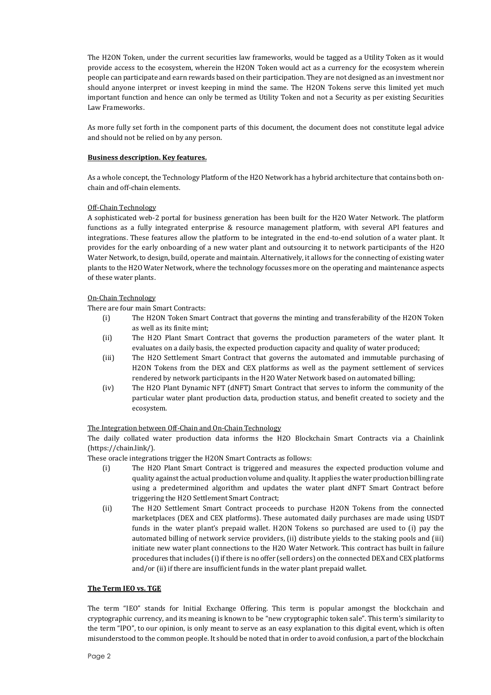The H2ON Token, under the current securities law frameworks, would be tagged as a Utility Token as it would provide access to the ecosystem, wherein the H2ON Token would act as a currency for the ecosystem wherein people can participate and earn rewards based on their participation. They are not designed as an investment nor should anyone interpret or invest keeping in mind the same. The H2ON Tokens serve this limited yet much important function and hence can only be termed as Utility Token and not a Security as per existing Securities Law Frameworks.

As more fully set forth in the component parts of this document, the document does not constitute legal advice and should not be relied on by any person.

# **Business description. Key features.**

As a whole concept, the Technology Platform of the H2O Network has a hybrid architecture that contains both onchain and off-chain elements.

# Off-Chain Technology

A sophisticated web-2 portal for business generation has been built for the H2O Water Network. The platform functions as a fully integrated enterprise & resource management platform, with several API features and integrations. These features allow the platform to be integrated in the end-to-end solution of a water plant. It provides for the early onboarding of a new water plant and outsourcing it to network participants of the H2O Water Network, to design, build, operate and maintain. Alternatively, it allows for the connecting of existing water plants to the H2O Water Network, where the technology focusses more on the operating and maintenance aspects of these water plants.

# On-Chain Technology

There are four main Smart Contracts:

- (i) The H2ON Token Smart Contract that governs the minting and transferability of the H2ON Token as well as its finite mint;
- (ii) The H2O Plant Smart Contract that governs the production parameters of the water plant. It evaluates on a daily basis, the expected production capacity and quality of water produced;
- (iii) The H2O Settlement Smart Contract that governs the automated and immutable purchasing of H2ON Tokens from the DEX and CEX platforms as well as the payment settlement of services rendered by network participants in the H2O Water Network based on automated billing;
- (iv) The H2O Plant Dynamic NFT (dNFT) Smart Contract that serves to inform the community of the particular water plant production data, production status, and benefit created to society and the ecosystem.

## The Integration between Off-Chain and On-Chain Technology

The daily collated water production data informs the H2O Blockchain Smart Contracts via a Chainlink (https://chain.link/).

These oracle integrations trigger the H2ON Smart Contracts as follows:

- (i) The H2O Plant Smart Contract is triggered and measures the expected production volume and quality against the actual production volume and quality. It applies the water production billing rate using a predetermined algorithm and updates the water plant dNFT Smart Contract before triggering the H2O Settlement Smart Contract;
- (ii) The H2O Settlement Smart Contract proceeds to purchase H2ON Tokens from the connected marketplaces (DEX and CEX platforms). These automated daily purchases are made using USDT funds in the water plant's prepaid wallet. H2ON Tokens so purchased are used to (i) pay the automated billing of network service providers, (ii) distribute yields to the staking pools and (iii) initiate new water plant connections to the H2O Water Network. This contract has built in failure procedures that includes (i) if there is no offer (sell orders) on the connected DEX and CEX platforms and/or (ii) if there are insufficient funds in the water plant prepaid wallet.

## **The Term IEO vs. TGE**

The term "IEO" stands for Initial Exchange Offering. This term is popular amongst the blockchain and cryptographic currency, and its meaning is known to be "new cryptographic token sale". This term's similarity to the term "IPO", to our opinion, is only meant to serve as an easy explanation to this digital event, which is often misunderstood to the common people. It should be noted that in order to avoid confusion, a part of the blockchain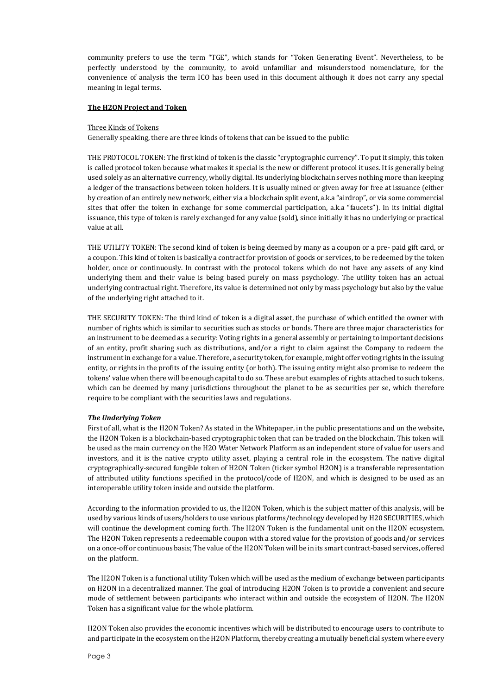community prefers to use the term "TGE", which stands for "Token Generating Event". Nevertheless, to be perfectly understood by the community, to avoid unfamiliar and misunderstood nomenclature, for the convenience of analysis the term ICO has been used in this document although it does not carry any special meaning in legal terms.

#### **The H2ON Project and Token**

#### Three Kinds of Tokens

Generally speaking, there are three kinds of tokens that can be issued to the public:

THE PROTOCOL TOKEN: The first kind of token is the classic "cryptographic currency". To put it simply, this token is called protocol token because what makes it special is the new or different protocol it uses. It is generally being used solely as an alternative currency, wholly digital. Its underlying blockchain serves nothing more than keeping a ledger of the transactions between token holders. It is usually mined or given away for free at issuance (either by creation of an entirely new network, either via a blockchain split event, a.k.a "airdrop", or via some commercial sites that offer the token in exchange for some commercial participation, a.k.a "faucets"). In its initial digital issuance, this type of token is rarely exchanged for any value (sold), since initially it has no underlying or practical value at all.

THE UTILITY TOKEN: The second kind of token is being deemed by many as a coupon or a pre- paid gift card, or a coupon. This kind of token is basically a contract for provision of goods or services, to be redeemed by the token holder, once or continuously. In contrast with the protocol tokens which do not have any assets of any kind underlying them and their value is being based purely on mass psychology. The utility token has an actual underlying contractual right. Therefore, its value is determined not only by mass psychology but also by the value of the underlying right attached to it.

THE SECURITY TOKEN: The third kind of token is a digital asset, the purchase of which entitled the owner with number of rights which is similar to securities such as stocks or bonds. There are three major characteristics for an instrument to be deemed as a security: Voting rights in a general assembly or pertaining to important decisions of an entity, profit sharing such as distributions, and/or a right to claim against the Company to redeem the instrument in exchange for a value. Therefore, a security token, for example, might offer voting rights in the issuing entity, or rights in the profits of the issuing entity (or both). The issuing entity might also promise to redeem the tokens' value when there will be enough capital to do so. These are but examples of rights attached to such tokens, which can be deemed by many jurisdictions throughout the planet to be as securities per se, which therefore require to be compliant with the securities laws and regulations.

#### *The Underlying Token*

First of all, what is the H2ON Token? As stated in the Whitepaper, in the public presentations and on the website, the H2ON Token is a blockchain-based cryptographic token that can be traded on the blockchain. This token will be used as the main currency on the H2O Water Network Platform as an independent store of value for users and investors, and it is the native crypto utility asset, playing a central role in the ecosystem. The native digital cryptographically-secured fungible token of H2ON Token (ticker symbol H2ON) is a transferable representation of attributed utility functions specified in the protocol/code of H2ON, and which is designed to be used as an interoperable utility token inside and outside the platform.

According to the information provided to us, the H2ON Token, which is the subject matter of this analysis, will be used by various kinds of users/holders to use various platforms/technology developed by H20 SECURITIES, which will continue the development coming forth. The H2ON Token is the fundamental unit on the H2ON ecosystem. The H2ON Token represents a redeemable coupon with a stored value for the provision of goods and/or services on a once-off or continuous basis; The value of the H2ON Token will be in its smart contract-based services, offered on the platform.

The H2ON Token is a functional utility Token which will be used as the medium of exchange between participants on H2ON in a decentralized manner. The goal of introducing H2ON Token is to provide a convenient and secure mode of settlement between participants who interact within and outside the ecosystem of H2ON. The H2ON Token has a significant value for the whole platform.

H2ON Token also provides the economic incentives which will be distributed to encourage users to contribute to and participate in the ecosystem on the H2ON Platform, thereby creating a mutually beneficial system where every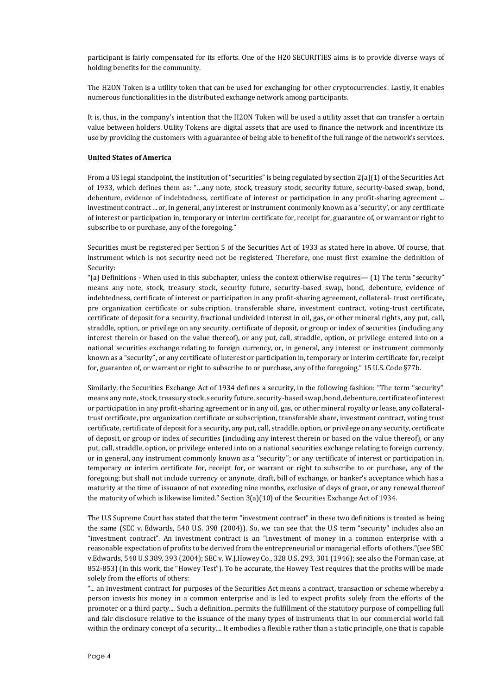participant is fairly compensated for its efforts. One of the H20 SECURITIES aims is to provide diverse ways of holding benefits for the community.

The H2ON Token is a utility token that can be used for exchanging for other cryptocurrencies. Lastly, it enables numerous functionalities in the distributed exchange network among participants.

It is, thus, in the company's intention that the H2ON Token will be used a utility asset that can transfer a certain value between holders. Utility Tokens are digital assets that are used to finance the network and incentivize its use by providing the customers with a guarantee of being able to benefit of the full range of the network's services.

#### **United States of America**

From a US legal standpoint, the institution of "securities" is being regulated by section 2(a)(1) of the Securities Act of 1933, which defines them as: "…any note, stock, treasury stock, security future, security-based swap, bond, debenture, evidence of indebtedness, certificate of interest or participation in any profit-sharing agreement ... investment contract ... or, in general, any interest or instrument commonly known as a 'security', or any certificate of interest or participation in, temporary or interim certificate for, receipt for, guarantee of, or warrant or right to subscribe to or purchase, any of the foregoing."

Securities must be registered per Section 5 of the Securities Act of 1933 as stated here in above. Of course, that instrument which is not security need not be registered. Therefore, one must first examine the definition of Security:

"(a) Definitions - When used in this subchapter, unless the context otherwise requires—  $(1)$  The term "security" means any note, stock, treasury stock, security future, security-based swap, bond, debenture, evidence of indebtedness, certificate of interest or participation in any profit-sharing agreement, collateral- trust certificate, pre organization certificate or subscription, transferable share, investment contract, voting-trust certificate, certificate of deposit for a security, fractional undivided interest in oil, gas, or other mineral rights, any put, call, straddle, option, or privilege on any security, certificate of deposit, or group or index of securities (including any interest therein or based on the value thereof), or any put, call, straddle, option, or privilege entered into on a national securities exchange relating to foreign currency, or, in general, any interest or instrument commonly known as a "security", or any certificate of interest or participation in, temporary or interim certificate for, receipt for, guarantee of, or warrant or right to subscribe to or purchase, any of the foregoing." 15 U.S. Code §77b.

Similarly, the Securities Exchange Act of 1934 defines a security, in the following fashion: "The term ''security'' means any note, stock, treasury stock, security future, security-based swap, bond, debenture, certificate of interest or participation in any profit-sharing agreement or in any oil, gas, or other mineral royalty or lease, any collateraltrust certificate, pre organization certificate or subscription, transferable share, investment contract, voting trust certificate, certificate of deposit for a security, any put, call, straddle, option, or privilege on any security, certificate of deposit, or group or index of securities (including any interest therein or based on the value thereof), or any put, call, straddle, option, or privilege entered into on a national securities exchange relating to foreign currency, or in general, any instrument commonly known as a ''security''; or any certificate of interest or participation in, temporary or interim certificate for, receipt for, or warrant or right to subscribe to or purchase, any of the foregoing; but shall not include currency or anynote, draft, bill of exchange, or banker's acceptance which has a maturity at the time of issuance of not exceeding nine months, exclusive of days of grace, or any renewal thereof the maturity of which is likewise limited." Section 3(a)(10) of the Securities Exchange Act of 1934.

The U.S Supreme Court has stated that the term "investment contract" in these two definitions is treated as being the same (SEC v. Edwards, 540 U.S. 398 (2004)). So, we can see that the U.S term "security" includes also an "investment contract". An investment contract is an "investment of money in a common enterprise with a reasonable expectation of profits to be derived from the entrepreneurial or managerial efforts of others."(see SEC v.Edwards, 540 U.S.389, 393 (2004); SEC v. W.J.Howey Co., 328 U.S. 293, 301 (1946); see also the Forman case, at 852-853) (in this work, the "Howey Test"). To be accurate, the Howey Test requires that the profits will be made solely from the efforts of others:

"... an investment contract for purposes of the Securities Act means a contract, transaction or scheme whereby a person invests his money in a common enterprise and is led to expect profits solely from the efforts of the promoter or a third party.... Such a definition...permits the fulfillment of the statutory purpose of compelling full and fair disclosure relative to the issuance of the many types of instruments that in our commercial world fall within the ordinary concept of a security.... It embodies a flexible rather than a static principle, one that is capable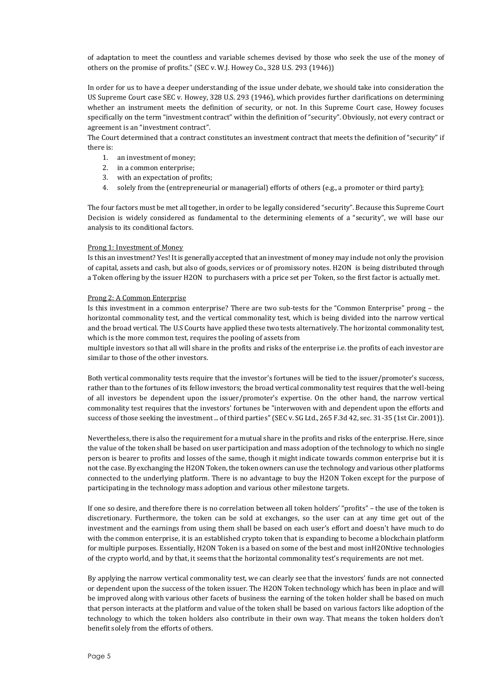of adaptation to meet the countless and variable schemes devised by those who seek the use of the money of others on the promise of profits." (SEC v. W.J. Howey Co., 328 U.S. 293 (1946))

In order for us to have a deeper understanding of the issue under debate, we should take into consideration the US Supreme Court case SEC v. Howey, 328 U.S. 293 (1946), which provides further clarifications on determining whether an instrument meets the definition of security, or not. In this Supreme Court case, Howey focuses specifically on the term "investment contract" within the definition of "security". Obviously, not every contract or agreement is an "investment contract".

The Court determined that a contract constitutes an investment contract that meets the definition of "security" if there is:

- 1. an investment of money;
- 2. in a common enterprise;
- 3. with an expectation of profits;
- 4. solely from the (entrepreneurial or managerial) efforts of others (e.g., a promoter or third party);

The four factors must be met all together, in order to be legally considered "security". Because this Supreme Court Decision is widely considered as fundamental to the determining elements of a "security", we will base our analysis to its conditional factors.

## Prong 1: Investment of Money

Is this an investment? Yes! It is generally accepted that an investment of money may include not only the provision of capital, assets and cash, but also of goods, services or of promissory notes. H2ON is being distributed through a Token offering by the issuer H2ON to purchasers with a price set per Token, so the first factor is actually met.

## Prong 2: A Common Enterprise

Is this investment in a common enterprise? There are two sub-tests for the "Common Enterprise" prong – the horizontal commonality test, and the vertical commonality test, which is being divided into the narrow vertical and the broad vertical. The U.S Courts have applied these two tests alternatively. The horizontal commonality test, which is the more common test, requires the pooling of assets from

multiple investors so that all will share in the profits and risks of the enterprise i.e. the profits of each investor are similar to those of the other investors.

Both vertical commonality tests require that the investor's fortunes will be tied to the issuer/promoter's success, rather than to the fortunes of its fellow investors; the broad vertical commonality test requires that the well-being of all investors be dependent upon the issuer/promoter's expertise. On the other hand, the narrow vertical commonality test requires that the investors' fortunes be "interwoven with and dependent upon the efforts and success of those seeking the investment ... of third parties" (SEC v. SG Ltd., 265 F.3d 42, sec. 31-35 (1st Cir. 2001)).

Nevertheless, there is also the requirement for a mutual share in the profits and risks of the enterprise. Here, since the value of the token shall be based on user participation and mass adoption of the technology to which no single person is bearer to profits and losses of the same, though it might indicate towards common enterprise but it is not the case. By exchanging the H2ON Token, the token owners can use the technology and various other platforms connected to the underlying platform. There is no advantage to buy the H2ON Token except for the purpose of participating in the technology mass adoption and various other milestone targets.

If one so desire, and therefore there is no correlation between all token holders' "profits" – the use of the token is discretionary. Furthermore, the token can be sold at exchanges, so the user can at any time get out of the investment and the earnings from using them shall be based on each user's effort and doesn't have much to do with the common enterprise, it is an established crypto token that is expanding to become a blockchain platform for multiple purposes. Essentially, H2ON Token is a based on some of the best and most inH2ONtive technologies of the crypto world, and by that, it seems that the horizontal commonality test's requirements are not met.

By applying the narrow vertical commonality test, we can clearly see that the investors' funds are not connected or dependent upon the success of the token issuer. The H2ON Token technology which has been in place and will be improved along with various other facets of business the earning of the token holder shall be based on much that person interacts at the platform and value of the token shall be based on various factors like adoption of the technology to which the token holders also contribute in their own way. That means the token holders don't benefit solely from the efforts of others.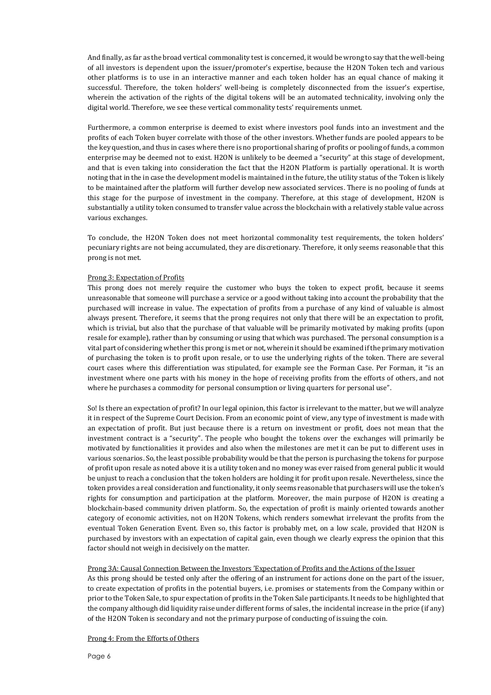And finally, as far as the broad vertical commonality test is concerned, it would be wrong to say that the well-being of all investors is dependent upon the issuer/promoter's expertise, because the H2ON Token tech and various other platforms is to use in an interactive manner and each token holder has an equal chance of making it successful. Therefore, the token holders' well-being is completely disconnected from the issuer's expertise, wherein the activation of the rights of the digital tokens will be an automated technicality, involving only the digital world. Therefore, we see these vertical commonality tests' requirements unmet.

Furthermore, a common enterprise is deemed to exist where investors pool funds into an investment and the profits of each Token buyer correlate with those of the other investors. Whether funds are pooled appears to be the key question, and thus in cases where there is no proportional sharing of profits or pooling of funds, a common enterprise may be deemed not to exist. H2ON is unlikely to be deemed a "security" at this stage of development, and that is even taking into consideration the fact that the H2ON Platform is partially operational. It is worth noting that in the in case the development model is maintained in the future, the utility status of the Token is likely to be maintained after the platform will further develop new associated services. There is no pooling of funds at this stage for the purpose of investment in the company. Therefore, at this stage of development, H2ON is substantially a utility token consumed to transfer value across the blockchain with a relatively stable value across various exchanges.

To conclude, the H2ON Token does not meet horizontal commonality test requirements, the token holders' pecuniary rights are not being accumulated, they are discretionary. Therefore, it only seems reasonable that this prong is not met.

#### Prong 3: Expectation of Profits

This prong does not merely require the customer who buys the token to expect profit, because it seems unreasonable that someone will purchase a service or a good without taking into account the probability that the purchased will increase in value. The expectation of profits from a purchase of any kind of valuable is almost always present. Therefore, it seems that the prong requires not only that there will be an expectation to profit, which is trivial, but also that the purchase of that valuable will be primarily motivated by making profits (upon resale for example), rather than by consuming or using that which was purchased. The personal consumption is a vital part of considering whether this prong is met or not, wherein it should be examined if the primary motivation of purchasing the token is to profit upon resale, or to use the underlying rights of the token. There are several court cases where this differentiation was stipulated, for example see the Forman Case. Per Forman, it "is an investment where one parts with his money in the hope of receiving profits from the efforts of others, and not where he purchases a commodity for personal consumption or living quarters for personal use".

So! Is there an expectation of profit? In our legal opinion, this factor is irrelevant to the matter, but we will analyze it in respect of the Supreme Court Decision. From an economic point of view, any type of investment is made with an expectation of profit. But just because there is a return on investment or profit, does not mean that the investment contract is a "security". The people who bought the tokens over the exchanges will primarily be motivated by functionalities it provides and also when the milestones are met it can be put to different uses in various scenarios. So, the least possible probability would be that the person is purchasing the tokens for purpose of profit upon resale as noted above it is a utility token and no money was ever raised from general public it would be unjust to reach a conclusion that the token holders are holding it for profit upon resale. Nevertheless, since the token provides a real consideration and functionality, it only seems reasonable that purchasers will use the token's rights for consumption and participation at the platform. Moreover, the main purpose of H2ON is creating a blockchain-based community driven platform. So, the expectation of profit is mainly oriented towards another category of economic activities, not on H2ON Tokens, which renders somewhat irrelevant the profits from the eventual Token Generation Event. Even so, this factor is probably met, on a low scale, provided that H2ON is purchased by investors with an expectation of capital gain, even though we clearly express the opinion that this factor should not weigh in decisively on the matter.

#### Prong 3A: Causal Connection Between the Investors 'Expectation of Profits and the Actions of the Issuer

As this prong should be tested only after the offering of an instrument for actions done on the part of the issuer, to create expectation of profits in the potential buyers, i.e. promises or statements from the Company within or prior to the Token Sale, to spur expectation of profits in the Token Sale participants. It needs to be highlighted that the company although did liquidity raise under different forms of sales, the incidental increase in the price (if any) of the H2ON Token is secondary and not the primary purpose of conducting of issuing the coin.

#### Prong 4: From the Efforts of Others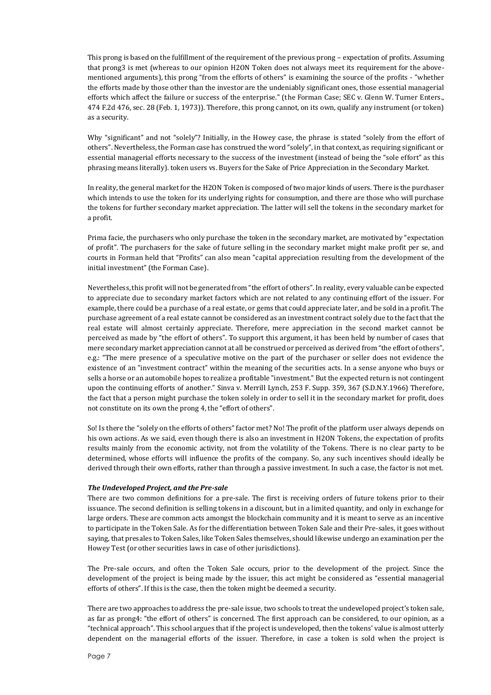This prong is based on the fulfillment of the requirement of the previous prong – expectation of profits. Assuming that prong3 is met (whereas to our opinion H2ON Token does not always meet its requirement for the abovementioned arguments), this prong "from the efforts of others" is examining the source of the profits - "whether the efforts made by those other than the investor are the undeniably significant ones, those essential managerial efforts which affect the failure or success of the enterprise." (the Forman Case; SEC v. Glenn W. Turner Enters., 474 F.2d 476, sec. 28 (Feb. 1, 1973)). Therefore, this prong cannot, on its own, qualify any instrument (or token) as a security.

Why "significant" and not "solely"? Initially, in the Howey case, the phrase is stated "solely from the effort of others". Nevertheless, the Forman case has construed the word "solely", in that context, as requiring significant or essential managerial efforts necessary to the success of the investment (instead of being the "sole effort" as this phrasing means literally). token users vs. Buyers for the Sake of Price Appreciation in the Secondary Market.

In reality, the general market for the H2ON Token is composed of two major kinds of users. There is the purchaser which intends to use the token for its underlying rights for consumption, and there are those who will purchase the tokens for further secondary market appreciation. The latter will sell the tokens in the secondary market for a profit.

Prima facie, the purchasers who only purchase the token in the secondary market, are motivated by "expectation of profit". The purchasers for the sake of future selling in the secondary market might make profit per se, and courts in Forman held that "Profits" can also mean "capital appreciation resulting from the development of the initial investment" (the Forman Case).

Nevertheless, this profit will not be generated from "the effort of others". In reality, every valuable can be expected to appreciate due to secondary market factors which are not related to any continuing effort of the issuer. For example, there could be a purchase of a real estate, or gems that could appreciate later, and be sold in a profit. The purchase agreement of a real estate cannot be considered as an investment contract solely due to the fact that the real estate will almost certainly appreciate. Therefore, mere appreciation in the second market cannot be perceived as made by "the effort of others". To support this argument, it has been held by number of cases that mere secondary market appreciation cannot at all be construed or perceived as derived from "the effort of others", e.g.: "The mere presence of a speculative motive on the part of the purchaser or seller does not evidence the existence of an "investment contract" within the meaning of the securities acts. In a sense anyone who buys or sells a horse or an automobile hopes to realize a profitable "investment." But the expected return is not contingent upon the continuing efforts of another." Sinva v. Merrill Lynch, 253 F. Supp. 359, 367 (S.D.N.Y.1966) Therefore, the fact that a person might purchase the token solely in order to sell it in the secondary market for profit, does not constitute on its own the prong 4, the "effort of others".

So! Is there the "solely on the efforts of others" factor met? No! The profit of the platform user always depends on his own actions. As we said, even though there is also an investment in H2ON Tokens, the expectation of profits results mainly from the economic activity, not from the volatility of the Tokens. There is no clear party to be determined, whose efforts will influence the profits of the company. So, any such incentives should ideally be derived through their own efforts, rather than through a passive investment. In such a case, the factor is not met.

## *The Undeveloped Project, and the Pre-sale*

There are two common definitions for a pre-sale. The first is receiving orders of future tokens prior to their issuance. The second definition is selling tokens in a discount, but in a limited quantity, and only in exchange for large orders. These are common acts amongst the blockchain community and it is meant to serve as an incentive to participate in the Token Sale. As for the differentiation between Token Sale and their Pre-sales, it goes without saying, that presales to Token Sales, like Token Sales themselves, should likewise undergo an examination per the Howey Test (or other securities laws in case of other jurisdictions).

The Pre-sale occurs, and often the Token Sale occurs, prior to the development of the project. Since the development of the project is being made by the issuer, this act might be considered as "essential managerial efforts of others". If this is the case, then the token might be deemed a security.

There are two approaches to address the pre-sale issue, two schools to treat the undeveloped project's token sale, as far as prong4: "the effort of others" is concerned. The first approach can be considered, to our opinion, as a "technical approach". This school argues that if the project is undeveloped, then the tokens' value is almost utterly dependent on the managerial efforts of the issuer. Therefore, in case a token is sold when the project is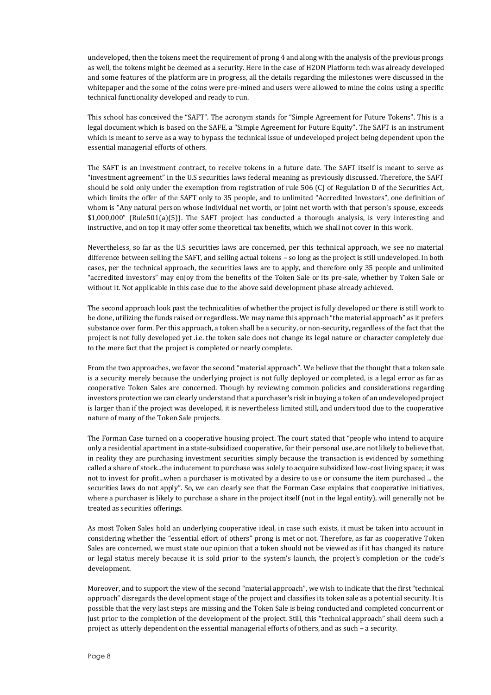undeveloped, then the tokens meet the requirement of prong 4 and along with the analysis of the previous prongs as well, the tokens might be deemed as a security. Here in the case of H2ON Platform tech was already developed and some features of the platform are in progress, all the details regarding the milestones were discussed in the whitepaper and the some of the coins were pre-mined and users were allowed to mine the coins using a specific technical functionality developed and ready to run.

This school has conceived the "SAFT". The acronym stands for "Simple Agreement for Future Tokens". This is a legal document which is based on the SAFE, a "Simple Agreement for Future Equity". The SAFT is an instrument which is meant to serve as a way to bypass the technical issue of undeveloped project being dependent upon the essential managerial efforts of others.

The SAFT is an investment contract, to receive tokens in a future date. The SAFT itself is meant to serve as "investment agreement" in the U.S securities laws federal meaning as previously discussed. Therefore, the SAFT should be sold only under the exemption from registration of rule 506 (C) of Regulation D of the Securities Act, which limits the offer of the SAFT only to 35 people, and to unlimited "Accredited Investors", one definition of whom is "Any natural person whose individual net worth, or joint net worth with that person's spouse, exceeds \$1,000,000" (Rule501(a)(5)). The SAFT project has conducted a thorough analysis, is very interesting and instructive, and on top it may offer some theoretical tax benefits, which we shall not cover in this work.

Nevertheless, so far as the U.S securities laws are concerned, per this technical approach, we see no material difference between selling the SAFT, and selling actual tokens – so long as the project is still undeveloped. In both cases, per the technical approach, the securities laws are to apply, and therefore only 35 people and unlimited "accredited investors" may enjoy from the benefits of the Token Sale or its pre-sale, whether by Token Sale or without it. Not applicable in this case due to the above said development phase already achieved.

The second approach look past the technicalities of whether the project is fully developed or there is still work to be done, utilizing the funds raised or regardless. We may name this approach "the material approach" as it prefers substance over form. Per this approach, a token shall be a security, or non-security, regardless of the fact that the project is not fully developed yet .i.e. the token sale does not change its legal nature or character completely due to the mere fact that the project is completed or nearly complete.

From the two approaches, we favor the second "material approach". We believe that the thought that a token sale is a security merely because the underlying project is not fully deployed or completed, is a legal error as far as cooperative Token Sales are concerned. Though by reviewing common policies and considerations regarding investors protection we can clearly understand that a purchaser's risk in buying a token of an undeveloped project is larger than if the project was developed, it is nevertheless limited still, and understood due to the cooperative nature of many of the Token Sale projects.

The Forman Case turned on a cooperative housing project. The court stated that "people who intend to acquire only a residential apartment in a state-subsidized cooperative, for their personal use, are not likely to believe that, in reality they are purchasing investment securities simply because the transaction is evidenced by something called a share of stock...the inducement to purchase was solely to acquire subsidized low-cost living space; it was not to invest for profit...when a purchaser is motivated by a desire to use or consume the item purchased ... the securities laws do not apply". So, we can clearly see that the Forman Case explains that cooperative initiatives, where a purchaser is likely to purchase a share in the project itself (not in the legal entity), will generally not be treated as securities offerings.

As most Token Sales hold an underlying cooperative ideal, in case such exists, it must be taken into account in considering whether the "essential effort of others" prong is met or not. Therefore, as far as cooperative Token Sales are concerned, we must state our opinion that a token should not be viewed as if it has changed its nature or legal status merely because it is sold prior to the system's launch, the project's completion or the code's development.

Moreover, and to support the view of the second "material approach", we wish to indicate that the first "technical approach" disregards the development stage of the project and classifies its token sale as a potential security. It is possible that the very last steps are missing and the Token Sale is being conducted and completed concurrent or just prior to the completion of the development of the project. Still, this "technical approach" shall deem such a project as utterly dependent on the essential managerial efforts of others, and as such – a security.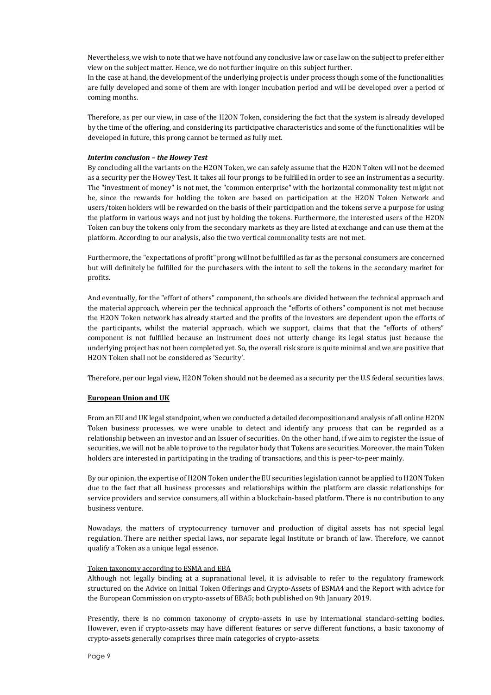Nevertheless, we wish to note that we have not found any conclusive law or case law on the subject to prefer either view on the subject matter. Hence, we do not further inquire on this subject further.

In the case at hand, the development of the underlying project is under process though some of the functionalities are fully developed and some of them are with longer incubation period and will be developed over a period of coming months.

Therefore, as per our view, in case of the H2ON Token, considering the fact that the system is already developed by the time of the offering, and considering its participative characteristics and some of the functionalities will be developed in future, this prong cannot be termed as fully met.

## *Interim conclusion – the Howey Test*

By concluding all the variants on the H2ON Token, we can safely assume that the H2ON Token will not be deemed as a security per the Howey Test. It takes all four prongs to be fulfilled in order to see an instrument as a security. The "investment of money" is not met, the "common enterprise" with the horizontal commonality test might not be, since the rewards for holding the token are based on participation at the H2ON Token Network and users/token holders will be rewarded on the basis of their participation and the tokens serve a purpose for using the platform in various ways and not just by holding the tokens. Furthermore, the interested users of the H2ON Token can buy the tokens only from the secondary markets as they are listed at exchange and can use them at the platform. According to our analysis, also the two vertical commonality tests are not met.

Furthermore, the "expectations of profit" prong will not be fulfilled as far as the personal consumers are concerned but will definitely be fulfilled for the purchasers with the intent to sell the tokens in the secondary market for profits.

And eventually, for the "effort of others" component, the schools are divided between the technical approach and the material approach, wherein per the technical approach the "efforts of others" component is not met because the H2ON Token network has already started and the profits of the investors are dependent upon the efforts of the participants, whilst the material approach, which we support, claims that that the "efforts of others" component is not fulfilled because an instrument does not utterly change its legal status just because the underlying project has not been completed yet. So, the overall risk score is quite minimal and we are positive that H2ON Token shall not be considered as 'Security'.

Therefore, per our legal view, H2ON Token should not be deemed as a security per the U.S federal securities laws.

## **European Union and UK**

From an EU and UK legal standpoint, when we conducted a detailed decomposition and analysis of all online H2ON Token business processes, we were unable to detect and identify any process that can be regarded as a relationship between an investor and an Issuer of securities. On the other hand, if we aim to register the issue of securities, we will not be able to prove to the regulator body that Tokens are securities. Moreover, the main Token holders are interested in participating in the trading of transactions, and this is peer-to-peer mainly.

By our opinion, the expertise of H2ON Token under the EU securities legislation cannot be applied to H2ON Token due to the fact that all business processes and relationships within the platform are classic relationships for service providers and service consumers, all within a blockchain-based platform. There is no contribution to any business venture.

Nowadays, the matters of cryptocurrency turnover and production of digital assets has not special legal regulation. There are neither special laws, nor separate legal Institute or branch of law. Therefore, we cannot qualify a Token as a unique legal essence.

#### Token taxonomy according to ESMA and EBA

Although not legally binding at a supranational level, it is advisable to refer to the regulatory framework structured on the Advice on Initial Token Offerings and Crypto-Assets of ESMA4 and the Report with advice for the European Commission on crypto-assets of EBA5; both published on 9th January 2019.

Presently, there is no common taxonomy of crypto-assets in use by international standard-setting bodies. However, even if crypto-assets may have different features or serve different functions, a basic taxonomy of crypto-assets generally comprises three main categories of crypto-assets: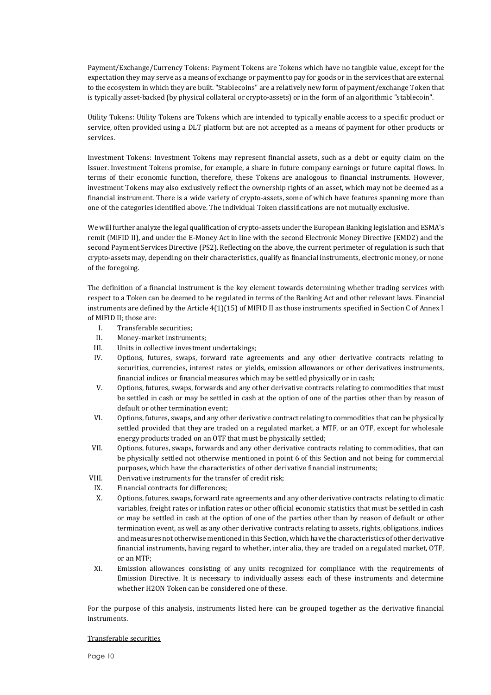Payment/Exchange/Currency Tokens: Payment Tokens are Tokens which have no tangible value, except for the expectation they may serve as a means of exchange or payment to pay for goods or in the services that are external to the ecosystem in which they are built. "Stablecoins" are a relatively new form of payment/exchange Token that is typically asset-backed (by physical collateral or crypto-assets) or in the form of an algorithmic "stablecoin".

Utility Tokens: Utility Tokens are Tokens which are intended to typically enable access to a specific product or service, often provided using a DLT platform but are not accepted as a means of payment for other products or services.

Investment Tokens: Investment Tokens may represent financial assets, such as a debt or equity claim on the Issuer. Investment Tokens promise, for example, a share in future company earnings or future capital flows. In terms of their economic function, therefore, these Tokens are analogous to financial instruments. However, investment Tokens may also exclusively reflect the ownership rights of an asset, which may not be deemed as a financial instrument. There is a wide variety of crypto-assets, some of which have features spanning more than one of the categories identified above. The individual Token classifications are not mutually exclusive.

We will further analyze the legal qualification of crypto-assets under the European Banking legislation and ESMA's remit (MiFID II), and under the E-Money Act in line with the second Electronic Money Directive (EMD2) and the second Payment Services Directive (PS2). Reflecting on the above, the current perimeter of regulation is such that crypto-assets may, depending on their characteristics, qualify as financial instruments, electronic money, or none of the foregoing.

The definition of a financial instrument is the key element towards determining whether trading services with respect to a Token can be deemed to be regulated in terms of the Banking Act and other relevant laws. Financial instruments are defined by the Article 4(1)(15) of MIFID II as those instruments specified in Section C of Annex I of MIFID II; those are:

- I. Transferable securities;
- II. Money-market instruments;
- III. Units in collective investment undertakings;
- IV. Options, futures, swaps, forward rate agreements and any other derivative contracts relating to securities, currencies, interest rates or yields, emission allowances or other derivatives instruments, financial indices or financial measures which may be settled physically or in cash;
- V. Options, futures, swaps, forwards and any other derivative contracts relating to commodities that must be settled in cash or may be settled in cash at the option of one of the parties other than by reason of default or other termination event;
- VI. Options, futures, swaps, and any other derivative contract relating to commodities that can be physically settled provided that they are traded on a regulated market, a MTF, or an OTF, except for wholesale energy products traded on an OTF that must be physically settled;
- VII. Options, futures, swaps, forwards and any other derivative contracts relating to commodities, that can be physically settled not otherwise mentioned in point 6 of this Section and not being for commercial purposes, which have the characteristics of other derivative financial instruments;
- VIII. Derivative instruments for the transfer of credit risk;
- IX. Financial contracts for differences;
- X. Options, futures, swaps, forward rate agreements and any other derivative contracts relating to climatic variables, freight rates or inflation rates or other official economic statistics that must be settled in cash or may be settled in cash at the option of one of the parties other than by reason of default or other termination event, as well as any other derivative contracts relating to assets, rights, obligations, indices and measures not otherwise mentioned in this Section, which have the characteristics of other derivative financial instruments, having regard to whether, inter alia, they are traded on a regulated market, OTF, or an MTF;
- XI. Emission allowances consisting of any units recognized for compliance with the requirements of Emission Directive. It is necessary to individually assess each of these instruments and determine whether H2ON Token can be considered one of these.

For the purpose of this analysis, instruments listed here can be grouped together as the derivative financial instruments.

#### Transferable securities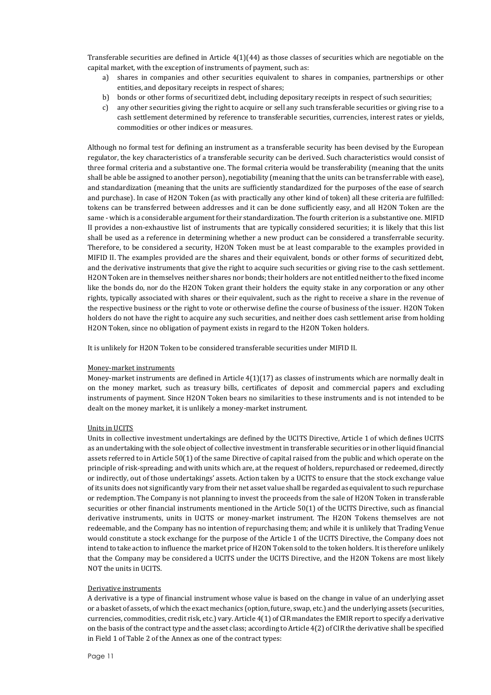Transferable securities are defined in Article  $4(1)(44)$  as those classes of securities which are negotiable on the capital market, with the exception of instruments of payment, such as:

- a) shares in companies and other securities equivalent to shares in companies, partnerships or other entities, and depositary receipts in respect of shares;
- b) bonds or other forms of securitized debt, including depositary receipts in respect of such securities;
- c) any other securities giving the right to acquire or sell any such transferable securities or giving rise to a cash settlement determined by reference to transferable securities, currencies, interest rates or yields, commodities or other indices or measures.

Although no formal test for defining an instrument as a transferable security has been devised by the European regulator, the key characteristics of a transferable security can be derived. Such characteristics would consist of three formal criteria and a substantive one. The formal criteria would be transferability (meaning that the units shall be able be assigned to another person), negotiability (meaning that the units can be transferrable with ease), and standardization (meaning that the units are sufficiently standardized for the purposes of the ease of search and purchase). In case of H2ON Token (as with practically any other kind of token) all these criteria are fulfilled: tokens can be transferred between addresses and it can be done sufficiently easy, and all H2ON Token are the same - which is a considerable argument for their standardization. The fourth criterion is a substantive one. MIFID II provides a non-exhaustive list of instruments that are typically considered securities; it is likely that this list shall be used as a reference in determining whether a new product can be considered a transferrable security. Therefore, to be considered a security, H2ON Token must be at least comparable to the examples provided in MIFID II. The examples provided are the shares and their equivalent, bonds or other forms of securitized debt, and the derivative instruments that give the right to acquire such securities or giving rise to the cash settlement. H2ON Token are in themselves neither shares nor bonds; their holders are not entitled neither to the fixed income like the bonds do, nor do the H2ON Token grant their holders the equity stake in any corporation or any other rights, typically associated with shares or their equivalent, such as the right to receive a share in the revenue of the respective business or the right to vote or otherwise define the course of business of the issuer. H2ON Token holders do not have the right to acquire any such securities, and neither does cash settlement arise from holding H2ON Token, since no obligation of payment exists in regard to the H2ON Token holders.

It is unlikely for H2ON Token to be considered transferable securities under MIFID II.

#### Money-market instruments

Money-market instruments are defined in Article 4(1)(17) as classes of instruments which are normally dealt in on the money market, such as treasury bills, certificates of deposit and commercial papers and excluding instruments of payment. Since H2ON Token bears no similarities to these instruments and is not intended to be dealt on the money market, it is unlikely a money-market instrument.

#### Units in UCITS

Units in collective investment undertakings are defined by the UCITS Directive, Article 1 of which defines UCITS as an undertaking with the sole object of collective investment in transferable securities or in other liquid financial assets referred to in Article 50(1) of the same Directive of capital raised from the public and which operate on the principle of risk-spreading; and with units which are, at the request of holders, repurchased or redeemed, directly or indirectly, out of those undertakings' assets. Action taken by a UCITS to ensure that the stock exchange value of its units does not significantly vary from their net asset value shall be regarded as equivalent to such repurchase or redemption. The Company is not planning to invest the proceeds from the sale of H2ON Token in transferable securities or other financial instruments mentioned in the Article 50(1) of the UCITS Directive, such as financial derivative instruments, units in UCITS or money-market instrument. The H2ON Tokens themselves are not redeemable, and the Company has no intention of repurchasing them; and while it is unlikely that Trading Venue would constitute a stock exchange for the purpose of the Article 1 of the UCITS Directive, the Company does not intend to take action to influence the market price of H2ON Token sold to the token holders. It is therefore unlikely that the Company may be considered a UCITS under the UCITS Directive, and the H2ON Tokens are most likely NOT the units in UCITS.

#### Derivative instruments

A derivative is a type of financial instrument whose value is based on the change in value of an underlying asset or a basket of assets, of which the exact mechanics (option, future, swap, etc.) and the underlying assets (securities, currencies, commodities, credit risk, etc.) vary. Article 4(1) of CIR mandates the EMIR report to specify a derivative on the basis of the contract type and the asset class; according to Article 4(2) of CIR the derivative shall be specified in Field 1 of Table 2 of the Annex as one of the contract types: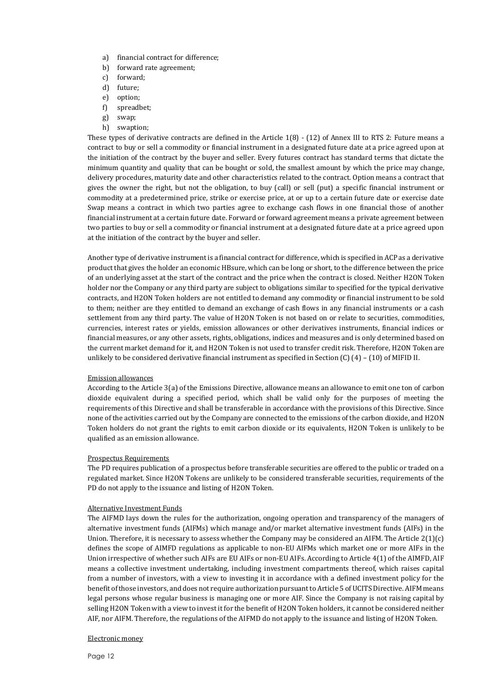- a) financial contract for difference;
- b) forward rate agreement;
- c) forward;
- d) future;
- e) option;
- f) spreadbet;
- g) swap;
- h) swaption;

These types of derivative contracts are defined in the Article 1(8) - (12) of Annex III to RTS 2: Future means a contract to buy or sell a commodity or financial instrument in a designated future date at a price agreed upon at the initiation of the contract by the buyer and seller. Every futures contract has standard terms that dictate the minimum quantity and quality that can be bought or sold, the smallest amount by which the price may change, delivery procedures, maturity date and other characteristics related to the contract. Option means a contract that gives the owner the right, but not the obligation, to buy (call) or sell (put) a specific financial instrument or commodity at a predetermined price, strike or exercise price, at or up to a certain future date or exercise date Swap means a contract in which two parties agree to exchange cash flows in one financial those of another financial instrument at a certain future date. Forward or forward agreement means a private agreement between two parties to buy or sell a commodity or financial instrument at a designated future date at a price agreed upon at the initiation of the contract by the buyer and seller.

Another type of derivative instrument is a financial contract for difference, which is specified in ACP as a derivative product that gives the holder an economic HBsure, which can be long or short, to the difference between the price of an underlying asset at the start of the contract and the price when the contract is closed. Neither H2ON Token holder nor the Company or any third party are subject to obligations similar to specified for the typical derivative contracts, and H2ON Token holders are not entitled to demand any commodity or financial instrument to be sold to them; neither are they entitled to demand an exchange of cash flows in any financial instruments or a cash settlement from any third party. The value of H2ON Token is not based on or relate to securities, commodities, currencies, interest rates or yields, emission allowances or other derivatives instruments, financial indices or financial measures, or any other assets, rights, obligations, indices and measures and is only determined based on the current market demand for it, and H2ON Token is not used to transfer credit risk. Therefore, H2ON Token are unlikely to be considered derivative financial instrument as specified in Section (C) (4) – (10) of MIFID II.

# Emission allowances

According to the Article 3(a) of the Emissions Directive, allowance means an allowance to emit one ton of carbon dioxide equivalent during a specified period, which shall be valid only for the purposes of meeting the requirements of this Directive and shall be transferable in accordance with the provisions of this Directive. Since none of the activities carried out by the Company are connected to the emissions of the carbon dioxide, and H2ON Token holders do not grant the rights to emit carbon dioxide or its equivalents, H2ON Token is unlikely to be qualified as an emission allowance.

## Prospectus Requirements

The PD requires publication of a prospectus before transferable securities are offered to the public or traded on a regulated market. Since H2ON Tokens are unlikely to be considered transferable securities, requirements of the PD do not apply to the issuance and listing of H2ON Token.

## Alternative Investment Funds

The AIFMD lays down the rules for the authorization, ongoing operation and transparency of the managers of alternative investment funds (AIFMs) which manage and/or market alternative investment funds (AIFs) in the Union. Therefore, it is necessary to assess whether the Company may be considered an AIFM. The Article 2(1)(c) defines the scope of AIMFD regulations as applicable to non-EU AIFMs which market one or more AIFs in the Union irrespective of whether such AIFs are EU AIFs or non-EU AIFs. According to Article 4(1) of the AIMFD, AIF means a collective investment undertaking, including investment compartments thereof, which raises capital from a number of investors, with a view to investing it in accordance with a defined investment policy for the benefit of those investors, and does not require authorization pursuant to Article 5 of UCITS Directive. AIFM means legal persons whose regular business is managing one or more AIF. Since the Company is not raising capital by selling H2ON Token with a view to invest it for the benefit of H2ON Token holders, it cannot be considered neither AIF, nor AIFM. Therefore, the regulations of the AIFMD do not apply to the issuance and listing of H2ON Token.

## Electronic money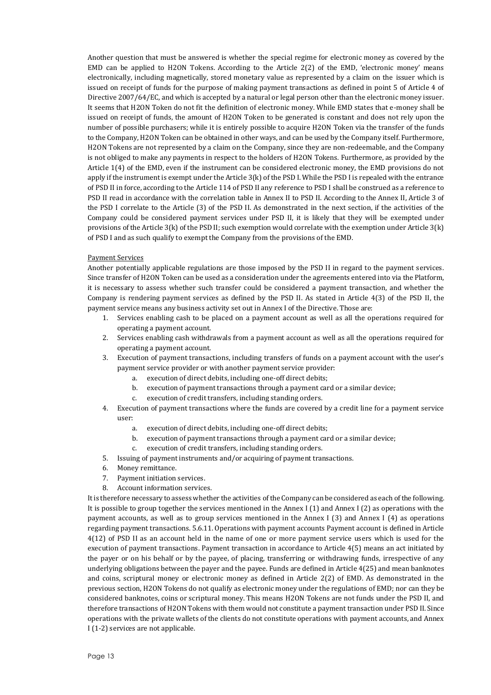Another question that must be answered is whether the special regime for electronic money as covered by the EMD can be applied to H2ON Tokens. According to the Article 2(2) of the EMD, 'electronic money' means electronically, including magnetically, stored monetary value as represented by a claim on the issuer which is issued on receipt of funds for the purpose of making payment transactions as defined in point 5 of Article 4 of Directive 2007/64/EC, and which is accepted by a natural or legal person other than the electronic money issuer. It seems that H2ON Token do not fit the definition of electronic money. While EMD states that e-money shall be issued on receipt of funds, the amount of H2ON Token to be generated is constant and does not rely upon the number of possible purchasers; while it is entirely possible to acquire H2ON Token via the transfer of the funds to the Company, H2ON Token can be obtained in other ways, and can be used by the Company itself. Furthermore, H2ON Tokens are not represented by a claim on the Company, since they are non-redeemable, and the Company is not obliged to make any payments in respect to the holders of H2ON Tokens. Furthermore, as provided by the Article 1(4) of the EMD, even if the instrument can be considered electronic money, the EMD provisions do not apply if the instrument is exempt under the Article 3(k) of the PSD I. While the PSD I is repealed with the entrance of PSD II in force, according to the Article 114 of PSD II any reference to PSD I shall be construed as a reference to PSD II read in accordance with the correlation table in Annex II to PSD II. According to the Annex II, Article 3 of the PSD I correlate to the Article (3) of the PSD II. As demonstrated in the next section, if the activities of the Company could be considered payment services under PSD II, it is likely that they will be exempted under provisions of the Article 3(k) of the PSD II; such exemption would correlate with the exemption under Article 3(k) of PSD I and as such qualify to exempt the Company from the provisions of the EMD.

## Payment Services

Another potentially applicable regulations are those imposed by the PSD II in regard to the payment services. Since transfer of H2ON Token can be used as a consideration under the agreements entered into via the Platform, it is necessary to assess whether such transfer could be considered a payment transaction, and whether the Company is rendering payment services as defined by the PSD II. As stated in Article 4(3) of the PSD II, the payment service means any business activity set out in Annex I of the Directive. Those are:

- 1. Services enabling cash to be placed on a payment account as well as all the operations required for operating a payment account.
- 2. Services enabling cash withdrawals from a payment account as well as all the operations required for operating a payment account.
- 3. Execution of payment transactions, including transfers of funds on a payment account with the user's payment service provider or with another payment service provider:
	- a. execution of direct debits, including one-off direct debits;
	- b. execution of payment transactions through a payment card or a similar device;
	- c. execution of credit transfers, including standing orders.
- 4. Execution of payment transactions where the funds are covered by a credit line for a payment service user:
	- a. execution of direct debits, including one-off direct debits;
	- b. execution of payment transactions through a payment card or a similar device;
	- c. execution of credit transfers, including standing orders.
- 5. Issuing of payment instruments and/or acquiring of payment transactions.
- 6. Money remittance.
- 7. Payment initiation services.
- 8. Account information services.

It is therefore necessary to assess whether the activities of the Company can be considered as each of the following. It is possible to group together the services mentioned in the Annex I (1) and Annex I (2) as operations with the payment accounts, as well as to group services mentioned in the Annex I (3) and Annex I (4) as operations regarding payment transactions. 5.6.11. Operations with payment accounts Payment account is defined in Article 4(12) of PSD II as an account held in the name of one or more payment service users which is used for the execution of payment transactions. Payment transaction in accordance to Article 4(5) means an act initiated by the payer or on his behalf or by the payee, of placing, transferring or withdrawing funds, irrespective of any underlying obligations between the payer and the payee. Funds are defined in Article 4(25) and mean banknotes and coins, scriptural money or electronic money as defined in Article 2(2) of EMD. As demonstrated in the previous section, H2ON Tokens do not qualify as electronic money under the regulations of EMD; nor can they be considered banknotes, coins or scriptural money. This means H2ON Tokens are not funds under the PSD II, and therefore transactions of H2ON Tokens with them would not constitute a payment transaction under PSD II. Since operations with the private wallets of the clients do not constitute operations with payment accounts, and Annex I (1-2) services are not applicable.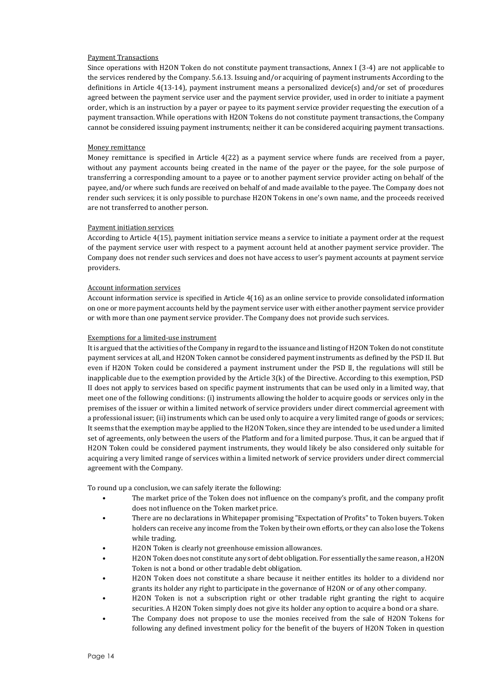#### Payment Transactions

Since operations with H2ON Token do not constitute payment transactions, Annex I (3-4) are not applicable to the services rendered by the Company. 5.6.13. Issuing and/or acquiring of payment instruments According to the definitions in Article 4(13-14), payment instrument means a personalized device(s) and/or set of procedures agreed between the payment service user and the payment service provider, used in order to initiate a payment order, which is an instruction by a payer or payee to its payment service provider requesting the execution of a payment transaction. While operations with H2ON Tokens do not constitute payment transactions, the Company cannot be considered issuing payment instruments; neither it can be considered acquiring payment transactions.

#### Money remittance

Money remittance is specified in Article 4(22) as a payment service where funds are received from a payer, without any payment accounts being created in the name of the payer or the payee, for the sole purpose of transferring a corresponding amount to a payee or to another payment service provider acting on behalf of the payee, and/or where such funds are received on behalf of and made available to the payee. The Company does not render such services; it is only possible to purchase H2ON Tokens in one's own name, and the proceeds received are not transferred to another person.

#### Payment initiation services

According to Article 4(15), payment initiation service means a service to initiate a payment order at the request of the payment service user with respect to a payment account held at another payment service provider. The Company does not render such services and does not have access to user's payment accounts at payment service providers.

# Account information services

Account information service is specified in Article 4(16) as an online service to provide consolidated information on one or more payment accounts held by the payment service user with either another payment service provider or with more than one payment service provider. The Company does not provide such services.

#### Exemptions for a limited-use instrument

It is argued that the activities of the Company in regard to the issuance and listing of H2ON Token do not constitute payment services at all, and H2ON Token cannot be considered payment instruments as defined by the PSD II. But even if H2ON Token could be considered a payment instrument under the PSD II, the regulations will still be inapplicable due to the exemption provided by the Article 3(k) of the Directive. According to this exemption, PSD II does not apply to services based on specific payment instruments that can be used only in a limited way, that meet one of the following conditions: (i) instruments allowing the holder to acquire goods or services only in the premises of the issuer or within a limited network of service providers under direct commercial agreement with a professional issuer; (ii) instruments which can be used only to acquire a very limited range of goods or services; It seems that the exemption may be applied to the H2ON Token, since they are intended to be used under a limited set of agreements, only between the users of the Platform and for a limited purpose. Thus, it can be argued that if H2ON Token could be considered payment instruments, they would likely be also considered only suitable for acquiring a very limited range of services within a limited network of service providers under direct commercial agreement with the Company.

To round up a conclusion, we can safely iterate the following:

- The market price of the Token does not influence on the company's profit, and the company profit does not influence on the Token market price.
- There are no declarations in Whitepaper promising "Expectation of Profits" to Token buyers. Token holders can receive any income from the Token by their own efforts, or they can also lose the Tokens while trading.
- H2ON Token is clearly not greenhouse emission allowances.
- H2ON Token does not constitute any sort of debt obligation. For essentially the same reason, a H2ON Token is not a bond or other tradable debt obligation.
- H2ON Token does not constitute a share because it neither entitles its holder to a dividend nor grants its holder any right to participate in the governance of H2ON or of any other company.
- H2ON Token is not a subscription right or other tradable right granting the right to acquire securities. A H2ON Token simply does not give its holder any option to acquire a bond or a share.
- The Company does not propose to use the monies received from the sale of H2ON Tokens for following any defined investment policy for the benefit of the buyers of H2ON Token in question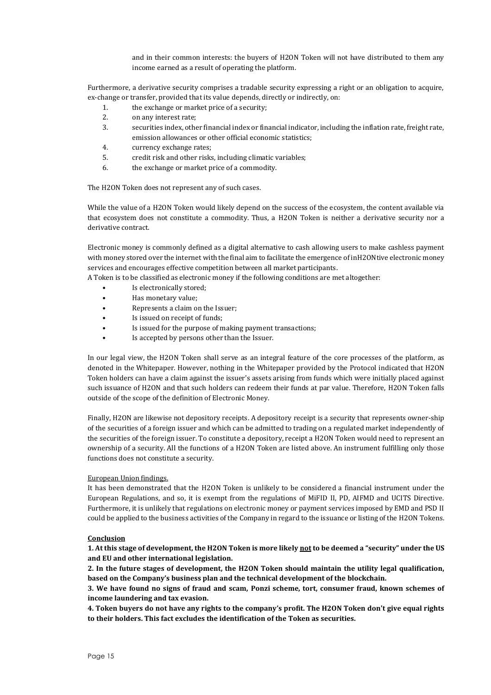and in their common interests: the buyers of H2ON Token will not have distributed to them any income earned as a result of operating the platform.

Furthermore, a derivative security comprises a tradable security expressing a right or an obligation to acquire, ex-change or transfer, provided that its value depends, directly or indirectly, on:

- 1. the exchange or market price of a security;
- 2. on any interest rate;
- 3. securities index, other financial index or financial indicator, including the inflation rate, freight rate, emission allowances or other official economic statistics;
- 4. currency exchange rates;
- 5. credit risk and other risks, including climatic variables;
- 6. the exchange or market price of a commodity.

The H2ON Token does not represent any of such cases.

While the value of a H2ON Token would likely depend on the success of the ecosystem, the content available via that ecosystem does not constitute a commodity. Thus, a H2ON Token is neither a derivative security nor a derivative contract.

Electronic money is commonly defined as a digital alternative to cash allowing users to make cashless payment with money stored over the internet with the final aim to facilitate the emergence of inH2ONtive electronic money services and encourages effective competition between all market participants.

A Token is to be classified as electronic money if the following conditions are met altogether:

- Is electronically stored:
- Has monetary value;
- Represents a claim on the Issuer;
- Is issued on receipt of funds;
- Is issued for the purpose of making payment transactions;
- Is accepted by persons other than the Issuer.

In our legal view, the H2ON Token shall serve as an integral feature of the core processes of the platform, as denoted in the Whitepaper. However, nothing in the Whitepaper provided by the Protocol indicated that H2ON Token holders can have a claim against the issuer's assets arising from funds which were initially placed against such issuance of H2ON and that such holders can redeem their funds at par value. Therefore, H2ON Token falls outside of the scope of the definition of Electronic Money.

Finally, H2ON are likewise not depository receipts. A depository receipt is a security that represents owner-ship of the securities of a foreign issuer and which can be admitted to trading on a regulated market independently of the securities of the foreign issuer. To constitute a depository, receipt a H2ON Token would need to represent an ownership of a security. All the functions of a H2ON Token are listed above. An instrument fulfilling only those functions does not constitute a security.

## European Union findings.

It has been demonstrated that the H2ON Token is unlikely to be considered a financial instrument under the European Regulations, and so, it is exempt from the regulations of MiFID II, PD, AIFMD and UCITS Directive. Furthermore, it is unlikely that regulations on electronic money or payment services imposed by EMD and PSD II could be applied to the business activities of the Company in regard to the issuance or listing of the H2ON Tokens.

## **Conclusion**

**1. At this stage of development, the H2ON Token is more likely not to be deemed a "security" under the US and EU and other international legislation.**

**2. In the future stages of development, the H2ON Token should maintain the utility legal qualification, based on the Company's business plan and the technical development of the blockchain.**

**3. We have found no signs of fraud and scam, Ponzi scheme, tort, consumer fraud, known schemes of income laundering and tax evasion.**

**4. Token buyers do not have any rights to the company's profit. The H2ON Token don't give equal rights to their holders. This fact excludes the identification of the Token as securities.**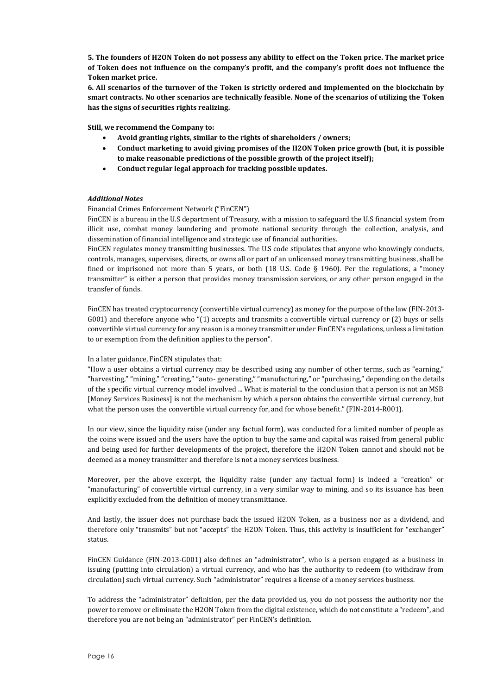**5. The founders of H2ON Token do not possess any ability to effect on the Token price. The market price of Token does not influence on the company's profit, and the company's profit does not influence the Token market price.**

**6. All scenarios of the turnover of the Token is strictly ordered and implemented on the blockchain by smart contracts. No other scenarios are technically feasible. None of the scenarios of utilizing the Token has the signs of securities rights realizing.**

**Still, we recommend the Company to:**

- **Avoid granting rights, similar to the rights of shareholders / owners;**
- **Conduct marketing to avoid giving promises of the H2ON Token price growth (but, it is possible to make reasonable predictions of the possible growth of the project itself);**
- **Conduct regular legal approach for tracking possible updates.**

# *Additional Notes*

# Financial Crimes Enforcement Network ("FinCEN")

FinCEN is a bureau in the U.S department of Treasury, with a mission to safeguard the U.S financial system from illicit use, combat money laundering and promote national security through the collection, analysis, and dissemination of financial intelligence and strategic use of financial authorities.

FinCEN regulates money transmitting businesses. The U.S code stipulates that anyone who knowingly conducts, controls, manages, supervises, directs, or owns all or part of an unlicensed money transmitting business, shall be fined or imprisoned not more than 5 years, or both (18 U.S. Code  $\S$  1960). Per the regulations, a "money transmitter" is either a person that provides money transmission services, or any other person engaged in the transfer of funds.

FinCEN has treated cryptocurrency (convertible virtual currency) as money for the purpose of the law (FIN-2013- G001) and therefore anyone who "(1) accepts and transmits a convertible virtual currency or (2) buys or sells convertible virtual currency for any reason is a money transmitter under FinCEN's regulations, unless a limitation to or exemption from the definition applies to the person".

## In a later guidance, FinCEN stipulates that:

"How a user obtains a virtual currency may be described using any number of other terms, such as "earning," "harvesting," "mining," "creating," "auto- generating," "manufacturing," or "purchasing," depending on the details of the specific virtual currency model involved ... What is material to the conclusion that a person is not an MSB [Money Services Business] is not the mechanism by which a person obtains the convertible virtual currency, but what the person uses the convertible virtual currency for, and for whose benefit." (FIN-2014-R001).

In our view, since the liquidity raise (under any factual form), was conducted for a limited number of people as the coins were issued and the users have the option to buy the same and capital was raised from general public and being used for further developments of the project, therefore the H2ON Token cannot and should not be deemed as a money transmitter and therefore is not a money services business.

Moreover, per the above excerpt, the liquidity raise (under any factual form) is indeed a "creation" or "manufacturing" of convertible virtual currency, in a very similar way to mining, and so its issuance has been explicitly excluded from the definition of money transmittance.

And lastly, the issuer does not purchase back the issued H2ON Token, as a business nor as a dividend, and therefore only "transmits" but not "accepts" the H2ON Token. Thus, this activity is insufficient for "exchanger" status.

FinCEN Guidance (FIN-2013-G001) also defines an "administrator", who is a person engaged as a business in issuing (putting into circulation) a virtual currency, and who has the authority to redeem (to withdraw from circulation) such virtual currency. Such "administrator" requires a license of a money services business.

To address the "administrator" definition, per the data provided us, you do not possess the authority nor the power to remove or eliminate the H2ON Token from the digital existence, which do not constitute a "redeem", and therefore you are not being an "administrator" per FinCEN's definition.